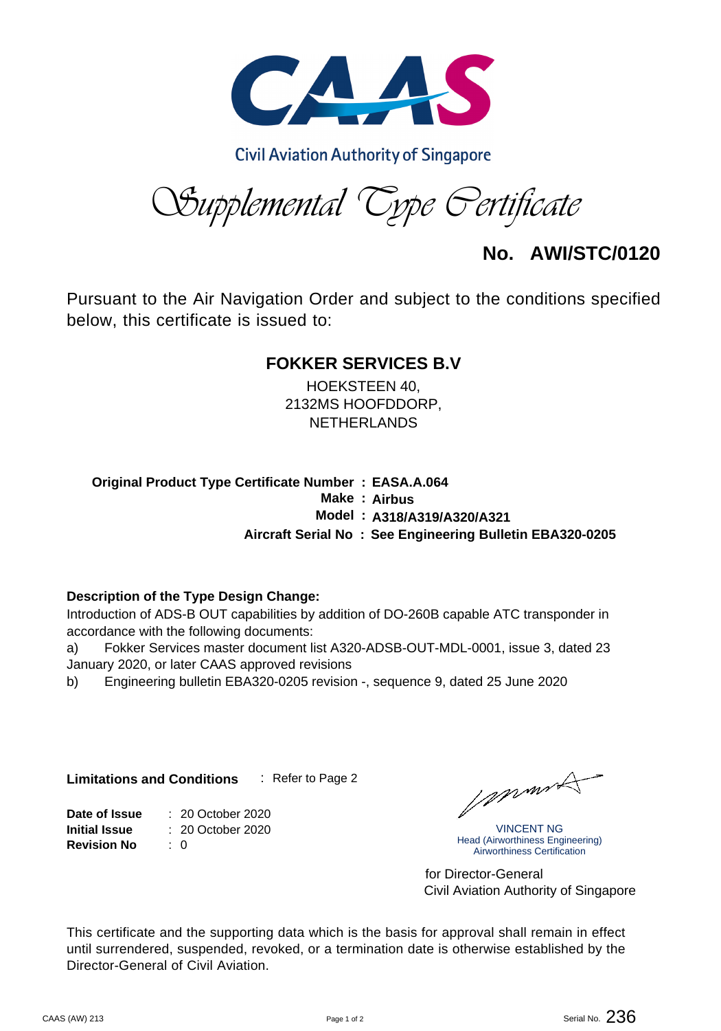

**Civil Aviation Authority of Singapore** 

*Supplemental Type Certificate*

**No. AWI/STC/0120**

Pursuant to the Air Navigation Order and subject to the conditions specified below, this certificate is issued to:

## **FOKKER SERVICES B.V**

HOEKSTEEN 40, 2132MS HOOFDDORP, NETHERLANDS

**Original Product Type Certificate Number : EASA.A.064 Make : Airbus Aircraft Serial No : See Engineering Bulletin EBA320-0205 Model : A318/A319/A320/A321**

#### **Description of the Type Design Change:**

Introduction of ADS-B OUT capabilities by addition of DO-260B capable ATC transponder in accordance with the following documents:

a) Fokker Services master document list A320-ADSB-OUT-MDL-0001, issue 3, dated 23 January 2020, or later CAAS approved revisions

b) Engineering bulletin EBA320-0205 revision -, sequence 9, dated 25 June 2020

**Limitations and Conditions** : Refer to Page 2

: 0 : 20 October 2020 Date of Issue  $\qquad \therefore$  20 October 2020 **Revision No Initial Issue**

Johnnes

VINCENT NG Head (Airworthiness Engineering) Airworthiness Certification

Civil Aviation Authority of Singapore for Director-General

This certificate and the supporting data which is the basis for approval shall remain in effect until surrendered, suspended, revoked, or a termination date is otherwise established by the Director-General of Civil Aviation.